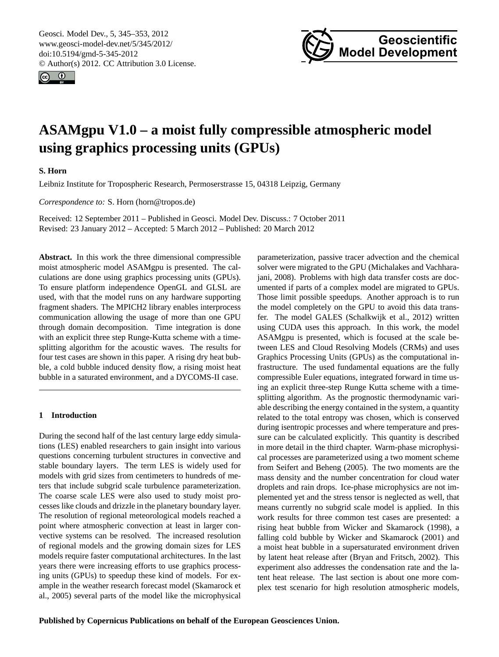<span id="page-0-0"></span>Geosci. Model Dev., 5, 345–353, 2012 www.geosci-model-dev.net/5/345/2012/ doi:10.5194/gmd-5-345-2012 © Author(s) 2012. CC Attribution 3.0 License.





# **ASAMgpu V1.0 – a moist fully compressible atmospheric model using graphics processing units (GPUs)**

# **S. Horn**

Leibniz Institute for Tropospheric Research, Permoserstrasse 15, 04318 Leipzig, Germany

*Correspondence to:* S. Horn (horn@tropos.de)

Received: 12 September 2011 – Published in Geosci. Model Dev. Discuss.: 7 October 2011 Revised: 23 January 2012 – Accepted: 5 March 2012 – Published: 20 March 2012

**Abstract.** In this work the three dimensional compressible moist atmospheric model ASAMgpu is presented. The calculations are done using graphics processing units (GPUs). To ensure platform independence OpenGL and GLSL are used, with that the model runs on any hardware supporting fragment shaders. The MPICH2 library enables interprocess communication allowing the usage of more than one GPU through domain decomposition. Time integration is done with an explicit three step Runge-Kutta scheme with a timesplitting algorithm for the acoustic waves. The results for four test cases are shown in this paper. A rising dry heat bubble, a cold bubble induced density flow, a rising moist heat bubble in a saturated environment, and a DYCOMS-II case.

# **1 Introduction**

During the second half of the last century large eddy simulations (LES) enabled researchers to gain insight into various questions concerning turbulent structures in convective and stable boundary layers. The term LES is widely used for models with grid sizes from centimeters to hundreds of meters that include subgrid scale turbulence parameterization. The coarse scale LES were also used to study moist processes like clouds and drizzle in the planetary boundary layer. The resolution of regional meteorological models reached a point where atmospheric convection at least in larger convective systems can be resolved. The increased resolution of regional models and the growing domain sizes for LES models require faster computational architectures. In the last years there were increasing efforts to use graphics processing units (GPUs) to speedup these kind of models. For example in the weather research forecast model [\(Skamarock et](#page-8-0) [al.,](#page-8-0) [2005\)](#page-8-0) several parts of the model like the microphysical parameterization, passive tracer advection and the chemical solver were migrated to the GPU [\(Michalakes and Vachhara](#page-8-1)[jani,](#page-8-1) [2008\)](#page-8-1). Problems with high data transfer costs are documented if parts of a complex model are migrated to GPUs. Those limit possible speedups. Another approach is to run the model completely on the GPU to avoid this data transfer. The model GALES [\(Schalkwijk et al.,](#page-8-2) [2012\)](#page-8-2) written using CUDA uses this approach. In this work, the model ASAMgpu is presented, which is focused at the scale between LES and Cloud Resolving Models (CRMs) and uses Graphics Processing Units (GPUs) as the computational infrastructure. The used fundamental equations are the fully compressible Euler equations, integrated forward in time using an explicit three-step Runge Kutta scheme with a timesplitting algorithm. As the prognostic thermodynamic variable describing the energy contained in the system, a quantity related to the total entropy was chosen, which is conserved during isentropic processes and where temperature and pressure can be calculated explicitly. This quantity is described in more detail in the third chapter. Warm-phase microphysical processes are parameterized using a two moment scheme from [Seifert and Beheng](#page-8-3) [\(2005\)](#page-8-3). The two moments are the mass density and the number concentration for cloud water droplets and rain drops. Ice-phase microphysics are not implemented yet and the stress tensor is neglected as well, that means currently no subgrid scale model is applied. In this work results for three common test cases are presented: a rising heat bubble from [Wicker and Skamarock](#page-8-4) [\(1998\)](#page-8-4), a falling cold bubble by [Wicker and Skamarock](#page-8-5) [\(2001\)](#page-8-5) and a moist heat bubble in a supersaturated environment driven by latent heat release after [\(Bryan and Fritsch,](#page-7-0) [2002\)](#page-7-0). This experiment also addresses the condensation rate and the latent heat release. The last section is about one more complex test scenario for high resolution atmospheric models,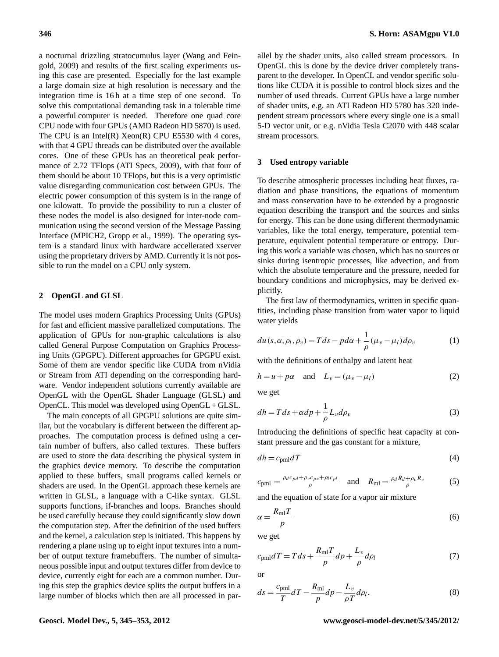a nocturnal drizzling stratocumulus layer [\(Wang and Fein](#page-8-6)[gold,](#page-8-6) [2009\)](#page-8-6) and results of the first scaling experiments using this case are presented. Especially for the last example a large domain size at high resolution is necessary and the integration time is 16h at a time step of one second. To solve this computational demanding task in a tolerable time a powerful computer is needed. Therefore one quad core CPU node with four GPUs (AMD Radeon HD 5870) is used. The CPU is an Intel(R) Xeon(R) CPU E5530 with 4 cores, with that 4 GPU threads can be distributed over the available cores. One of these GPUs has an theoretical peak performance of 2.72 TFlops [\(ATI Specs,](#page-7-1) [2009\)](#page-7-1), with that four of them should be about 10 TFlops, but this is a very optimistic value disregarding communication cost between GPUs. The electric power consumption of this system is in the range of one kilowatt. To provide the possibility to run a cluster of these nodes the model is also designed for inter-node communication using the second version of the Message Passing Interface (MPICH2, [Gropp et al.,](#page-8-7) [1999\)](#page-8-7). The operating system is a standard linux with hardware accellerated xserver using the proprietary drivers by AMD. Currently it is not possible to run the model on a CPU only system.

## **2 OpenGL and GLSL**

The model uses modern Graphics Processing Units (GPUs) for fast and efficient massive parallelized computations. The application of GPUs for non-graphic calculations is also called General Purpose Computation on Graphics Processing Units (GPGPU). Different approaches for GPGPU exist. Some of them are vendor specific like CUDA from nVidia or Stream from ATI depending on the corresponding hardware. Vendor independent solutions currently available are OpenGL with the OpenGL Shader Language (GLSL) and OpenCL. This model was developed using OpenGL + GLSL.

The main concepts of all GPGPU solutions are quite similar, but the vocabulary is different between the different approaches. The computation process is defined using a certain number of buffers, also called textures. These buffers are used to store the data describing the physical system in the graphics device memory. To describe the computation applied to these buffers, small programs called kernels or shaders are used. In the OpenGL approach these kernels are written in GLSL, a language with a C-like syntax. GLSL supports functions, if-branches and loops. Branches should be used carefully because they could significantly slow down the computation step. After the definition of the used buffers and the kernel, a calculation step is initiated. This happens by rendering a plane using up to eight input textures into a number of output texture framebuffers. The number of simultaneous possible input and output textures differ from device to device, currently eight for each are a common number. During this step the graphics device splits the output buffers in a large number of blocks which then are all processed in parallel by the shader units, also called stream processors. In OpenGL this is done by the device driver completely transparent to the developer. In OpenCL and vendor specific solutions like CUDA it is possible to control block sizes and the number of used threads. Current GPUs have a large number of shader units, e.g. an ATI Radeon HD 5780 has 320 independent stream processors where every single one is a small 5-D vector unit, or e.g. nVidia Tesla C2070 with 448 scalar stream processors.

## **3 Used entropy variable**

To describe atmospheric processes including heat fluxes, radiation and phase transitions, the equations of momentum and mass conservation have to be extended by a prognostic equation describing the transport and the sources and sinks for energy. This can be done using different thermodynamic variables, like the total energy, temperature, potential temperature, equivalent potential temperature or entropy. During this work a variable was chosen, which has no sources or sinks during isentropic processes, like advection, and from which the absolute temperature and the pressure, needed for boundary conditions and microphysics, may be derived explicitly.

The first law of thermodynamics, written in specific quantities, including phase transition from water vapor to liquid water yields

$$
du(s, \alpha, \rho_l, \rho_v) = Tds - pd\alpha + \frac{1}{\rho}(\mu_v - \mu_l)d\rho_v
$$
 (1)

with the definitions of enthalpy and latent heat

$$
h = u + p\alpha \quad \text{and} \quad L_v = (\mu_v - \mu_l) \tag{2}
$$

we get

$$
dh = T ds + \alpha dp + \frac{1}{\rho} L_v d\rho_v \tag{3}
$$

Introducing the definitions of specific heat capacity at constant pressure and the gas constant for a mixture,

$$
dh = c_{\text{pml}} dT \tag{4}
$$

$$
c_{\text{pml}} = \frac{\rho_d c_{pd} + \rho_v c_{pv} + \rho_l c_{pl}}{\rho} \quad \text{and} \quad R_{\text{ml}} = \frac{\rho_d R_d + \rho_v R_v}{\rho} \tag{5}
$$

and the equation of state for a vapor air mixture

$$
\alpha = \frac{R_{\rm ml} T}{p} \tag{6}
$$

we get

$$
c_{\text{pml}}dT = Tds + \frac{R_{\text{ml}}T}{p}dp + \frac{L_v}{\rho}d\rho_l
$$
\n(7)

or

$$
ds = \frac{c_{\text{pml}}}{T}dT - \frac{R_{\text{ml}}}{p}dp - \frac{L_v}{\rho T}d\rho_l.
$$
 (8)

# **Geosci. Model Dev., 5, 345[–353,](#page-0-0) 2012 www.geosci-model-dev.net/5/345/2012/**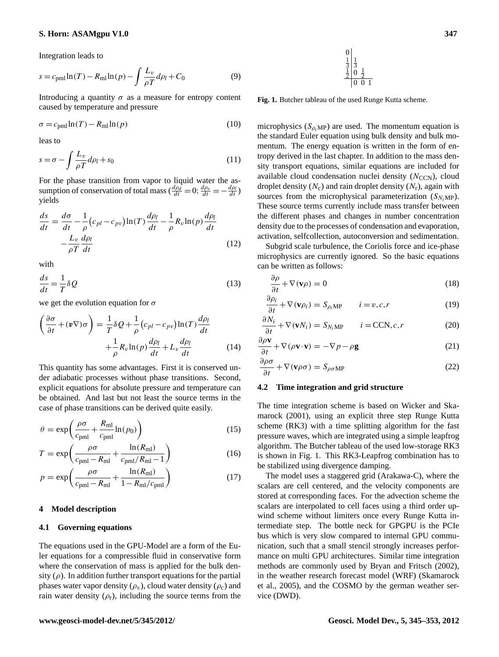# **S. Horn: ASAMgpu V1.0 347**

Integration leads to

$$
s = c_{\text{pml}} \ln(T) - R_{\text{ml}} \ln(p) - \int \frac{L_v}{\rho T} d\rho_l + C_0 \tag{9}
$$

Introducing a quantity  $\sigma$  as a measure for entropy content caused by temperature and pressure

$$
\sigma = c_{\text{pml}} \ln(T) - R_{\text{ml}} \ln(p) \tag{10}
$$

leas to

$$
s = \sigma - \int \frac{L_v}{\rho T} d\rho_l + s_0 \tag{11}
$$

For the phase transition from vapor to liquid water the assumption of conservation of total mass ( $\frac{d\rho_d}{dt} = 0$ ;  $\frac{d\rho_v}{dt} = -\frac{d\rho_l}{dt}$ ) yields

$$
\frac{ds}{dt} = \frac{d\sigma}{dt} - \frac{1}{\rho} (c_{pl} - c_{pv}) \ln(T) \frac{d\rho_l}{dt} - \frac{1}{\rho} R_v \ln(p) \frac{d\rho_l}{dt}
$$

$$
- \frac{L_v}{\rho T} \frac{d\rho_l}{dt}
$$
(12)

with

$$
\frac{ds}{dt} = \frac{1}{T}\delta Q\tag{13}
$$

we get the evolution equation for  $\sigma$ 

$$
\left(\frac{\partial \sigma}{\partial t} + (\mathbf{v} \nabla)\sigma\right) = \frac{1}{T} \delta Q + \frac{1}{\rho} \left(c_{pl} - c_{pv}\right) \ln(T) \frac{d\rho_l}{dt} + \frac{1}{\rho} R_v \ln(p) \frac{d\rho_l}{dt} + L_v \frac{d\rho_l}{dt}
$$
\n(14)

This quantity has some advantages. First it is conserved under adiabatic processes without phase transitions. Second, explicit equations for absolute pressure and temperature can be obtained. And last but not least the source terms in the case of phase transitions can be derived quite easily.

$$
\theta = \exp\left(\frac{\rho \sigma}{c_{\text{pml}}} + \frac{R_{\text{ml}}}{c_{\text{pml}}} \ln(p_0)\right) \tag{15}
$$

$$
T = \exp\left(\frac{\rho \sigma}{c_{\text{pml}} - R_{\text{ml}}} + \frac{\ln(R_{\text{ml}})}{c_{\text{pml}}/R_{\text{ml}} - 1}\right)
$$
(16)

$$
p = \exp\left(\frac{\rho \sigma}{c_{\text{pml}} - R_{\text{ml}} + \frac{\ln(R_{\text{ml}})}{1 - R_{\text{ml}}/c_{\text{pml}}}\right)
$$
(17)

#### **4 Model description**

## **4.1 Governing equations**

The equations used in the GPU-Model are a form of the Euler equations for a compressible fluid in conservative form where the conservation of mass is applied for the bulk density  $(\rho)$ . In addition further transport equations for the partial phases water vapor density  $(\rho_v)$ , cloud water density  $(\rho_c)$  and rain water density  $(\rho_r)$ , including the source terms from the



<span id="page-2-0"></span>**Fig. 1.** Butcher tableau of the used Runge Kutta scheme.

microphysics  $(S_{\rho_i MP})$  are used. The momentum equation is the standard Euler equation using bulk density and bulk momentum. The energy equation is written in the form of entropy derived in the last chapter. In addition to the mass density transport equations, similar equations are included for available cloud condensation nuclei density  $(N_{\text{CCN}})$ , cloud droplet density  $(N_c)$  and rain droplet density  $(N_r)$ , again with sources from the microphysical parameterization  $(S_{N_iMP})$ . These source terms currently include mass transfer between the different phases and changes in number concentration density due to the processes of condensation and evaporation, activation, selfcollection, autoconversion and sedimentation.

Subgrid scale turbulence, the Coriolis force and ice-phase microphysics are currently ignored. So the basic equations can be written as follows:

$$
\frac{\partial \rho}{\partial t} + \nabla(\mathbf{v}\rho) = 0 \tag{18}
$$

$$
\frac{\partial \rho_i}{\partial t} + \nabla(\mathbf{v}\rho_i) = S_{\rho_i \mathbf{M} \mathbf{P}} \qquad i = v, c, r \tag{19}
$$

$$
\frac{\partial N_i}{\partial t} + \nabla(\mathbf{v}N_i) = S_{N_i\text{MP}} \qquad i = \text{CCN}, c, r \tag{20}
$$

$$
\frac{\partial \rho \mathbf{v}}{\partial t} + \nabla (\rho \mathbf{v} \cdot \mathbf{v}) = -\nabla p - \rho \mathbf{g}
$$
 (21)

$$
\frac{\partial \rho \sigma}{\partial t} + \nabla (\mathbf{v} \rho \sigma) = S_{\rho \sigma \mathbf{M} \mathbf{P}} \tag{22}
$$

### **4.2 Time integration and grid structure**

The time integration scheme is based on [Wicker and Ska](#page-8-5)[marock](#page-8-5) [\(2001\)](#page-8-5), using an explicit three step Runge Kutta scheme (RK3) with a time splitting algorithm for the fast pressure waves, which are integrated using a simple leapfrog algorithm. The Butcher tableau of the used low-storage RK3 is shown in Fig. [1.](#page-2-0) This RK3-Leapfrog combination has to be stabilized using divergence damping.

The model uses a staggered grid (Arakawa-C), where the scalars are cell centered, and the velocity components are stored at corresponding faces. For the advection scheme the scalars are interpolated to cell faces using a third order upwind scheme without limiters once every Runge Kutta intermediate step. The bottle neck for GPGPU is the PCIe bus which is very slow compared to internal GPU communication, such that a small stencil strongly increases performance on multi GPU architectures. Similar time integration methods are commonly used by [Bryan and Fritsch](#page-7-0) [\(2002\)](#page-7-0), in the weather research forecast model (WRF) [\(Skamarock](#page-8-0) [et al.,](#page-8-0) [2005\)](#page-8-0), and the COSMO by the german weather service (DWD).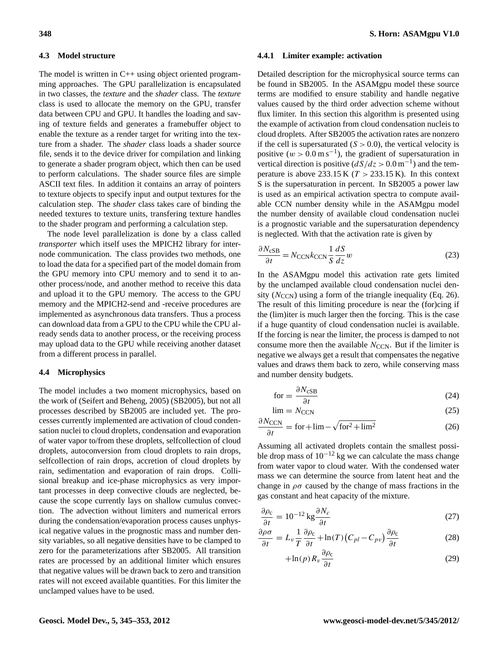#### **4.3 Model structure**

The model is written in C++ using object oriented programming approaches. The GPU parallelization is encapsulated in two classes, the *texture* and the *shader* class. The *texture* class is used to allocate the memory on the GPU, transfer data between CPU and GPU. It handles the loading and saving of texture fields and generates a framebuffer object to enable the texture as a render target for writing into the texture from a shader. The *shader* class loads a shader source file, sends it to the device driver for compilation and linking to generate a shader program object, which then can be used to perform calculations. The shader source files are simple ASCII text files. In addition it contains an array of pointers to texture objects to specify input and output textures for the calculation step. The *shader* class takes care of binding the needed textures to texture units, transfering texture handles to the shader program and performing a calculation step.

The node level parallelization is done by a class called *transporter* which itself uses the MPICH2 library for internode communication. The class provides two methods, one to load the data for a specified part of the model domain from the GPU memory into CPU memory and to send it to another process/node, and another method to receive this data and upload it to the GPU memory. The access to the GPU memory and the MPICH2-send and -receive procedures are implemented as asynchronous data transfers. Thus a process can download data from a GPU to the CPU while the CPU already sends data to another process, or the receiving process may upload data to the GPU while receiving another dataset from a different process in parallel.

## **4.4 Microphysics**

The model includes a two moment microphysics, based on the work of [\(Seifert and Beheng,](#page-8-3) [2005\)](#page-8-3) (SB2005), but not all processes described by SB2005 are included yet. The processes currently implemented are activation of cloud condensation nuclei to cloud droplets, condensation and evaporation of water vapor to/from these droplets, selfcollection of cloud droplets, autoconversion from cloud droplets to rain drops, selfcollection of rain drops, accretion of cloud droplets by rain, sedimentation and evaporation of rain drops. Collisional breakup and ice-phase microphysics as very important processes in deep convective clouds are neglected, because the scope currently lays on shallow cumulus convection. The advection without limiters and numerical errors during the condensation/evaporation process causes unphysical negative values in the prognostic mass and number density variables, so all negative densities have to be clamped to zero for the parameterizations after SB2005. All transition rates are processed by an additional limiter which ensures that negative values will be drawn back to zero and transition rates will not exceed available quantities. For this limiter the unclamped values have to be used.

#### **4.4.1 Limiter example: activation**

Detailed description for the microphysical source terms can be found in SB2005. In the ASAMgpu model these source terms are modified to ensure stability and handle negative values caused by the third order advection scheme without flux limiter. In this section this algorithm is presented using the example of activation from cloud condensation nucleis to cloud droplets. After SB2005 the activation rates are nonzero if the cell is supersaturated  $(S > 0.0)$ , the vertical velocity is positive  $(w > 0.0 \text{ m s}^{-1})$ , the gradient of supersaturation in vertical direction is positive  $\left(\frac{dS}{dz} > 0.0 \,\text{m}^{-1}\right)$  and the temperature is above 233.15 K ( $T > 233.15$  K). In this context S is the supersaturation in percent. In SB2005 a power law is used as an empirical activation spectra to compute available CCN number density while in the ASAMgpu model the number density of available cloud condensation nuclei is a prognostic variable and the supersaturation dependency is neglected. With that the activation rate is given by

$$
\frac{\partial N_{\text{CSB}}}{\partial t} = N_{\text{CCN}} k_{\text{CCN}} \frac{1}{S} \frac{dS}{dz} w \tag{23}
$$

In the ASAMgpu model this activation rate gets limited by the unclamped available cloud condensation nuclei density  $(N_{\text{CCN}})$  using a form of the triangle inequality (Eq. 26). The result of this limiting procedure is near the (for)cing if the (lim)iter is much larger then the forcing. This is the case if a huge quantity of cloud condensation nuclei is available. If the forcing is near the limiter, the process is damped to not consume more then the available  $N_{\text{CCN}}$ . But if the limiter is negative we always get a result that compensates the negative values and draws them back to zero, while conserving mass and number density budgets.

$$
for = \frac{\partial N_{\text{cSB}}}{\partial t} \tag{24}
$$

$$
\lim = N_{\text{CCN}} \tag{25}
$$

$$
\frac{\partial N_{\text{CCN}}}{\partial t} = \text{for} + \text{lim} - \sqrt{\text{for}^2 + \text{lim}^2}
$$
 (26)

Assuming all activated droplets contain the smallest possible drop mass of  $10^{-12}$  kg we can calculate the mass change from water vapor to cloud water. With the condensed water mass we can determine the source from latent heat and the change in  $\rho\sigma$  caused by the change of mass fractions in the gas constant and heat capacity of the mixture.

$$
\frac{\partial \rho_c}{\partial t} = 10^{-12} \text{ kg} \frac{\partial N_c}{\partial t} \tag{27}
$$

$$
\frac{\partial \rho \sigma}{\partial t} = L_v \frac{1}{T} \frac{\partial \rho_c}{\partial t} + \ln(T) \left( C_{pl} - C_{pv} \right) \frac{\partial \rho_c}{\partial t}
$$
(28)

$$
+\ln(p) R_v \frac{\partial \rho_c}{\partial t}
$$
 (29)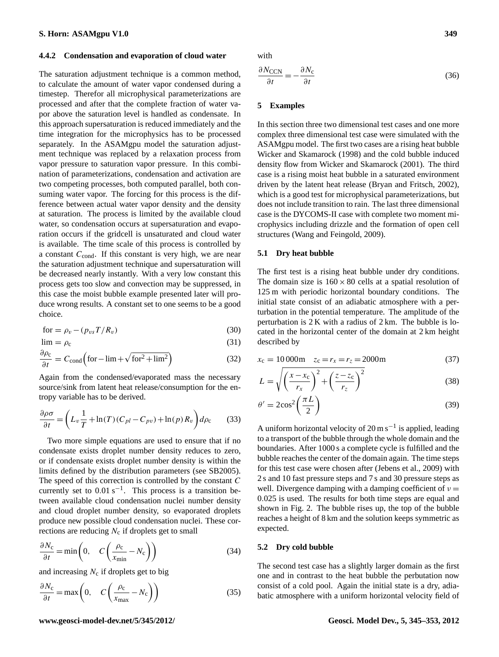#### **4.4.2 Condensation and evaporation of cloud water**

The saturation adjustment technique is a common method, to calculate the amount of water vapor condensed during a timestep. Therefor all microphysical parameterizations are processed and after that the complete fraction of water vapor above the saturation level is handled as condensate. In this approach supersaturation is reduced immediately and the time integration for the microphysics has to be processed separately. In the ASAMgpu model the saturation adjustment technique was replaced by a relaxation process from vapor pressure to saturation vapor pressure. In this combination of parameterizations, condensation and activation are two competing processes, both computed parallel, both consuming water vapor. The forcing for this process is the difference between actual water vapor density and the density at saturation. The process is limited by the available cloud water, so condensation occurs at supersaturation and evaporation occurs if the gridcell is unsaturated and cloud water is available. The time scale of this process is controlled by a constant  $C_{\text{cond}}$ . If this constant is very high, we are near the saturation adjustment technique and supersaturation will be decreased nearly instantly. With a very low constant this process gets too slow and convection may be suppressed, in this case the moist bubble example presented later will produce wrong results. A constant set to one seems to be a good choice.

$$
for = \rho_v - (p_{vs}T/R_v) \tag{30}
$$

$$
\lim = \rho_{\rm c} \tag{31}
$$

$$
\frac{\partial \rho_c}{\partial t} = C_{\text{cond}} \left( \text{for} - \text{lim} + \sqrt{\text{for}^2 + \text{lim}^2} \right)
$$
 (32)

Again from the condensed/evaporated mass the necessary source/sink from latent heat release/consumption for the entropy variable has to be derived.

$$
\frac{\partial \rho \sigma}{\partial t} = \left( L_v \frac{1}{T} + \ln(T) (C_{pl} - C_{pv}) + \ln(p) R_v \right) d\rho_c \tag{33}
$$

Two more simple equations are used to ensure that if no condensate exists droplet number density reduces to zero, or if condensate exists droplet number density is within the limits defined by the distribution parameters (see SB2005). The speed of this correction is controlled by the constant  $C$ currently set to  $0.01$  s<sup>-1</sup>. This process is a transition between available cloud condensation nuclei number density and cloud droplet number density, so evaporated droplets produce new possible cloud condensation nuclei. These corrections are reducing  $N_c$  if droplets get to small

$$
\frac{\partial N_c}{\partial t} = \min\left(0, \quad C\left(\frac{\rho_c}{x_{\min}} - N_c\right)\right) \tag{34}
$$

and increasing  $N_c$  if droplets get to big

$$
\frac{\partial N_c}{\partial t} = \max\left(0, \quad C\left(\frac{\rho_c}{x_{\text{max}}} - N_c\right)\right) \tag{35}
$$

with

$$
\frac{\partial N_{\text{CCN}}}{\partial t} = -\frac{\partial N_{\text{c}}}{\partial t} \tag{36}
$$

# **5 Examples**

In this section three two dimensional test cases and one more complex three dimensional test case were simulated with the ASAMgpu model. The first two cases are a rising heat bubble [Wicker and Skamarock](#page-8-4) [\(1998\)](#page-8-4) and the cold bubble induced density flow from [Wicker and Skamarock](#page-8-5) [\(2001\)](#page-8-5). The third case is a rising moist heat bubble in a saturated environment driven by the latent heat release [\(Bryan and Fritsch,](#page-7-0) [2002\)](#page-7-0), which is a good test for microphysical parameterizations, but does not include transition to rain. The last three dimensional case is the DYCOMS-II case with complete two moment microphysics including drizzle and the formation of open cell structures [\(Wang and Feingold,](#page-8-6) [2009\)](#page-8-6).

## **5.1 Dry heat bubble**

The first test is a rising heat bubble under dry conditions. The domain size is  $160 \times 80$  cells at a spatial resolution of 125 m with periodic horizontal boundary conditions. The initial state consist of an adiabatic atmosphere with a perturbation in the potential temperature. The amplitude of the perturbation is 2 K with a radius of 2 km. The bubble is located in the horizontal center of the domain at 2 km height described by

$$
x_c = 10000 \text{m} \quad z_c = r_x = r_z = 2000 \text{m} \tag{37}
$$

$$
L = \sqrt{\left(\frac{x - x_c}{r_x}\right)^2 + \left(\frac{z - z_c}{r_z}\right)^2} \tag{38}
$$

$$
\theta' = 2\cos^2\left(\frac{\pi L}{2}\right) \tag{39}
$$

A uniform horizontal velocity of  $20 \text{ m s}^{-1}$  is applied, leading to a transport of the bubble through the whole domain and the boundaries. After 1000 s a complete cycle is fulfilled and the bubble reaches the center of the domain again. The time steps for this test case were chosen after [\(Jebens et al.,](#page-8-8) [2009\)](#page-8-8) with 2 s and 10 fast pressure steps and 7 s and 30 pressure steps as well. Divergence damping with a damping coefficient of  $v =$ 0.025 is used. The results for both time steps are equal and shown in Fig. [2.](#page-5-0) The bubble rises up, the top of the bubble reaches a height of 8 km and the solution keeps symmetric as expected.

#### **5.2 Dry cold bubble**

The second test case has a slightly larger domain as the first one and in contrast to the heat bubble the perbutation now consist of a cold pool. Again the initial state is a dry, adiabatic atmosphere with a uniform horizontal velocity field of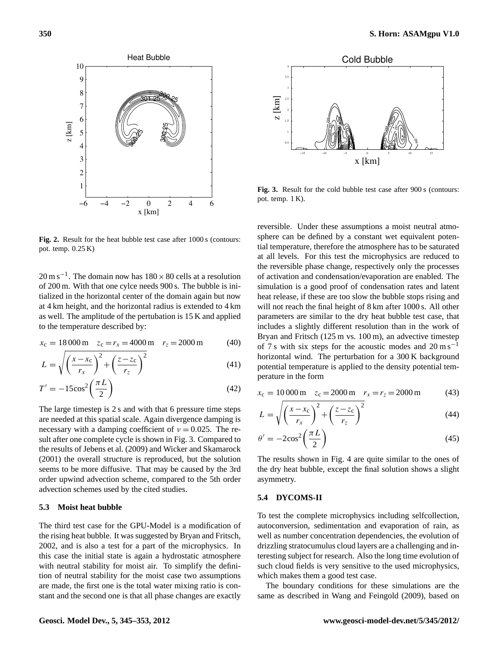

<span id="page-5-0"></span>**Fig. 2.** Result for the heat bubble test case after 1000 s (contours: pot. temp. 0.25 K)

 $20 \text{ m s}^{-1}$ . The domain now has  $180 \times 80$  cells at a resolution of 200 m. With that one cylce needs 900 s. The bubble is initialized in the horizontal center of the domain again but now at 4 km height, and the horizontal radius is extended to 4 km as well. The amplitude of the pertubation is 15 K and applied to the temperature described by:

$$
x_c = 18000 \,\text{m} \quad z_c = r_x = 4000 \,\text{m} \quad r_z = 2000 \,\text{m} \tag{40}
$$

$$
L = \sqrt{\left(\frac{x - x_c}{r_x}\right)^2 + \left(\frac{z - z_c}{r_z}\right)^2} \tag{41}
$$

$$
T' = -15\cos^2\left(\frac{\pi L}{2}\right) \tag{42}
$$

The large timestep is 2 s and with that 6 pressure time steps are needed at this spatial scale. Again divergence damping is necessary with a damping coefficient of  $v = 0.025$ . The result after one complete cycle is shown in Fig. [3.](#page-5-1) Compared to the results of [Jebens et al.](#page-8-8) [\(2009\)](#page-8-8) and [Wicker and Skamarock](#page-8-5) [\(2001\)](#page-8-5) the overall structure is reproduced, but the solution seems to be more diffusive. That may be caused by the 3rd order upwind advection scheme, compared to the 5th order advection schemes used by the cited studies.

# **5.3 Moist heat bubble**

The third test case for the GPU-Model is a modification of the rising heat bubble. It was suggested by [Bryan and Fritsch,](#page-7-0) [2002,](#page-7-0) and is also a test for a part of the microphysics. In this case the initial state is again a hydrostatic atmosphere with neutral stability for moist air. To simplify the definition of neutral stability for the moist case two assumptions are made, the first one is the total water mixing ratio is constant and the second one is that all phase changes are exactly



<span id="page-5-1"></span>Fig. 3. Result for the cold bubble test case after 900 s (contours: pot. temp. 1 K).

reversible. Under these assumptions a moist neutral atmosphere can be defined by a constant wet equivalent potential temperature, therefore the atmosphere has to be saturated at all levels. For this test the microphysics are reduced to the reversible phase change, respectively only the processes of activation and condensation/evaporation are enabled. The simulation is a good proof of condensation rates and latent heat release, if these are too slow the bubble stops rising and will not reach the final height of 8 km after 1000 s. All other parameters are similar to the dry heat bubble test case, that includes a slightly different resolution than in the work of Bryan and Fritsch (125 m vs. 100 m), an advective timestep of 7 s with six steps for the acoustic modes and  $20 \text{ m s}^{-1}$ horizontal wind. The perturbation for a 300 K background potential temperature is applied to the density potential temperature in the form

$$
x_c = 10\,000 \,\text{m} \quad z_c = 2000 \,\text{m} \quad r_x = r_z = 2000 \,\text{m} \tag{43}
$$

$$
L = \sqrt{\left(\frac{x - x_c}{r_x}\right)^2 + \left(\frac{z - z_c}{r_z}\right)^2} \tag{44}
$$

$$
\theta' = -2\cos^2\left(\frac{\pi L}{2}\right) \tag{45}
$$

The results shown in Fig. [4](#page-6-0) are quite similar to the ones of the dry heat bubble, except the final solution shows a slight asymmetry.

# **5.4 DYCOMS-II**

To test the complete microphysics including selfcollection, autoconversion, sedimentation and evaporation of rain, as well as number concentration dependencies, the evolution of drizzling stratocumulus cloud layers are a challenging and interesting subject for research. Also the long time evolution of such cloud fields is very sensitive to the used microphysics, which makes them a good test case.

The boundary conditions for these simulations are the same as described in [Wang and Feingold](#page-8-6) [\(2009\)](#page-8-6), based on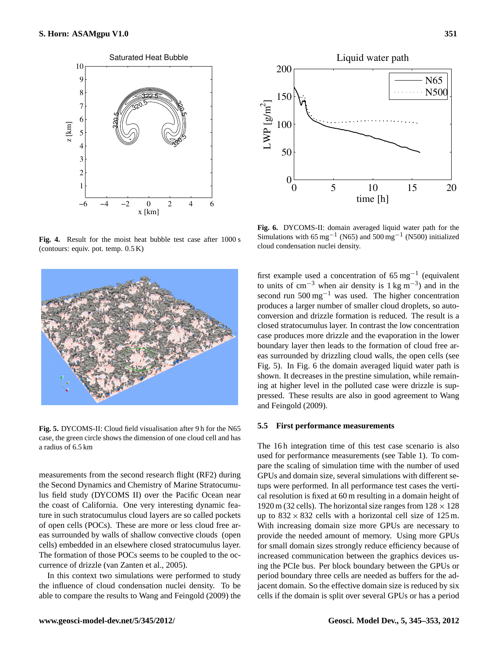

<span id="page-6-0"></span>**Fig. 4.** Result for the moist heat bubble test case after 1000 s (contours: equiv. pot. temp. 0.5 K)



**Fig. 5.** DYCOMS-II: Cloud field visualisation after 9 h for the N65 case, the green circle shows the dimension of one cloud cell and has a radius of 6.5 km

<span id="page-6-1"></span>measurements from the second research flight (RF2) during the Second Dynamics and Chemistry of Marine Stratocumulus field study (DYCOMS II) over the Pacific Ocean near the coast of California. One very interesting dynamic feature in such stratocumulus cloud layers are so called pockets of open cells (POCs). These are more or less cloud free areas surrounded by walls of shallow convective clouds (open cells) embedded in an elsewhere closed stratocumulus layer. The formation of those POCs seems to be coupled to the occurrence of drizzle [\(van Zanten et al.,](#page-8-9) [2005\)](#page-8-9).

In this context two simulations were performed to study the influence of cloud condensation nuclei density. To be able to compare the results to [Wang and Feingold](#page-8-6) [\(2009\)](#page-8-6) the



<span id="page-6-2"></span>**Fig. 6.** DYCOMS-II: domain averaged liquid water path for the Simulations with 65 mg<sup>-1</sup> (N65) and 500 mg<sup>-1</sup> (N500) initialized cloud condensation nuclei density.

first example used a concentration of  $65 \text{ mg}^{-1}$  (equivalent to units of cm<sup>-3</sup> when air density is  $1 \text{ kg m}^{-3}$ ) and in the second run 500 mg−<sup>1</sup> was used. The higher concentration produces a larger number of smaller cloud droplets, so autoconversion and drizzle formation is reduced. The result is a closed stratocumulus layer. In contrast the low concentration case produces more drizzle and the evaporation in the lower boundary layer then leads to the formation of cloud free areas surrounded by drizzling cloud walls, the open cells (see Fig. [5\)](#page-6-1). In Fig. [6](#page-6-2) the domain averaged liquid water path is shown. It decreases in the prestine simulation, while remaining at higher level in the polluted case were drizzle is suppressed. These results are also in good agreement to [Wang](#page-8-6) [and Feingold](#page-8-6) [\(2009\)](#page-8-6).

#### **5.5 First performance measurements**

The 16h integration time of this test case scenario is also used for performance measurements (see Table 1). To compare the scaling of simulation time with the number of used GPUs and domain size, several simulations with different setups were performed. In all performance test cases the vertical resolution is fixed at 60 m resulting in a domain height of 1920 m (32 cells). The horizontal size ranges from  $128 \times 128$ up to  $832 \times 832$  cells with a horizontal cell size of 125 m. With increasing domain size more GPUs are necessary to provide the needed amount of memory. Using more GPUs for small domain sizes strongly reduce efficiency because of increased communication between the graphics devices using the PCIe bus. Per block boundary between the GPUs or period boundary three cells are needed as buffers for the adjacent domain. So the effective domain size is reduced by six cells if the domain is split over several GPUs or has a period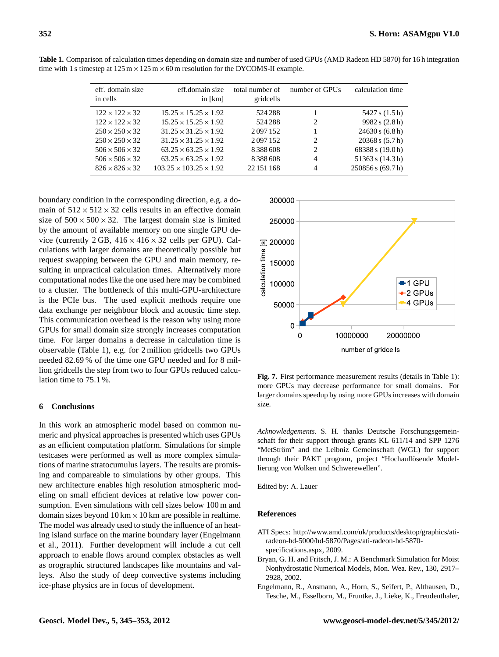| eff. domain size<br>in cells | eff.domain size<br>in $[km]$       | total number of<br>gridcells | number of GPUs                | calculation time     |
|------------------------------|------------------------------------|------------------------------|-------------------------------|----------------------|
| $122 \times 122 \times 32$   | $15.25 \times 15.25 \times 1.92$   | 524 288                      |                               | 5427 s (1.5 h)       |
| $122 \times 122 \times 32$   | $15.25 \times 15.25 \times 1.92$   | 524 288                      | 2                             | 9982 s (2.8 h)       |
| $250 \times 250 \times 32$   | $31.25 \times 31.25 \times 1.92$   | 2097152                      |                               | 24630 s (6.8 h)      |
| $250 \times 250 \times 32$   | $31.25 \times 31.25 \times 1.92$   | 2097152                      | $\mathfrak{D}_{\mathfrak{p}}$ | 20368 s (5.7 h)      |
| $506 \times 506 \times 32$   | $63.25 \times 63.25 \times 1.92$   | 8388608                      | 2                             | 68388 s (19.0 h)     |
| $506 \times 506 \times 32$   | $63.25 \times 63.25 \times 1.92$   | 8388608                      | 4                             | $51363$ s $(14.3 h)$ |
| $826 \times 826 \times 32$   | $103.25 \times 103.25 \times 1.92$ | 22 151 168                   | 4                             | 250856 s (69.7 h)    |

**Table 1.** Comparison of calculation times depending on domain size and number of used GPUs (AMD Radeon HD 5870) for 16 h integration time with 1 s timestep at  $125 \text{ m} \times 125 \text{ m} \times 60 \text{ m}$  resolution for the DYCOMS-II example.

boundary condition in the corresponding direction, e.g. a domain of  $512 \times 512 \times 32$  cells results in an effective domain size of  $500 \times 500 \times 32$ . The largest domain size is limited by the amount of available memory on one single GPU device (currently  $2 GB$ ,  $416 \times 416 \times 32$  cells per GPU). Calculations with larger domains are theoretically possible but request swapping between the GPU and main memory, resulting in unpractical calculation times. Alternatively more computational nodes like the one used here may be combined to a cluster. The bottleneck of this multi-GPU-architecture is the PCIe bus. The used explicit methods require one data exchange per neighbour block and acoustic time step. This communication overhead is the reason why using more GPUs for small domain size strongly increases computation time. For larger domains a decrease in calculation time is observable (Table 1), e.g. for 2 million gridcells two GPUs needed 82.69 % of the time one GPU needed and for 8 million gridcells the step from two to four GPUs reduced calculation time to 75.1 %.

# **6 Conclusions**

In this work an atmospheric model based on common numeric and physical approaches is presented which uses GPUs as an efficient computation platform. Simulations for simple testcases were performed as well as more complex simulations of marine stratocumulus layers. The results are promising and compareable to simulations by other groups. This new architecture enables high resolution atmospheric modeling on small efficient devices at relative low power consumption. Even simulations with cell sizes below 100 m and domain sizes beyond  $10 \text{ km} \times 10 \text{ km}$  are possible in realtime. The model was already used to study the influence of an heating island surface on the marine boundary layer [\(Engelmann](#page-7-2) [et al.,](#page-7-2) [2011\)](#page-7-2). Further development will include a cut cell approach to enable flows around complex obstacles as well as orographic structured landscapes like mountains and valleys. Also the study of deep convective systems including ice-phase physics are in focus of development.



**Fig. 7.** First performance measurement results (details in Table 1): more GPUs may decrease performance for small domains. For larger domains speedup by using more GPUs increases with domain size.

*Acknowledgements.* S. H. thanks Deutsche Forschungsgemeinschaft for their support through grants KL 611/14 and SPP 1276 "MetStröm" and the Leibniz Gemeinschaft (WGL) for support through their PAKT program, project "Hochauflösende Modellierung von Wolken und Schwerewellen".

Edited by: A. Lauer

### **References**

- <span id="page-7-1"></span>ATI Specs: [http://www.amd.com/uk/products/desktop/graphics/ati](http://www.amd.com/uk/products/desktop/graphics/ati-radeon-hd-5000/hd-5870/Pages/ati-radeon-hd-5870-specifications.aspx)[radeon-hd-5000/hd-5870/Pages/ati-radeon-hd-5870](http://www.amd.com/uk/products/desktop/graphics/ati-radeon-hd-5000/hd-5870/Pages/ati-radeon-hd-5870-specifications.aspx) [specifications.aspx,](http://www.amd.com/uk/products/desktop/graphics/ati-radeon-hd-5000/hd-5870/Pages/ati-radeon-hd-5870-specifications.aspx) 2009.
- <span id="page-7-0"></span>Bryan, G. H. and Fritsch, J. M.: A Benchmark Simulation for Moist Nonhydrostatic Numerical Models, Mon. Wea. Rev., 130, 2917– 2928, 2002.
- <span id="page-7-2"></span>Engelmann, R., Ansmann, A., Horn, S., Seifert, P., Althausen, D., Tesche, M., Esselborn, M., Fruntke, J., Lieke, K., Freudenthaler,